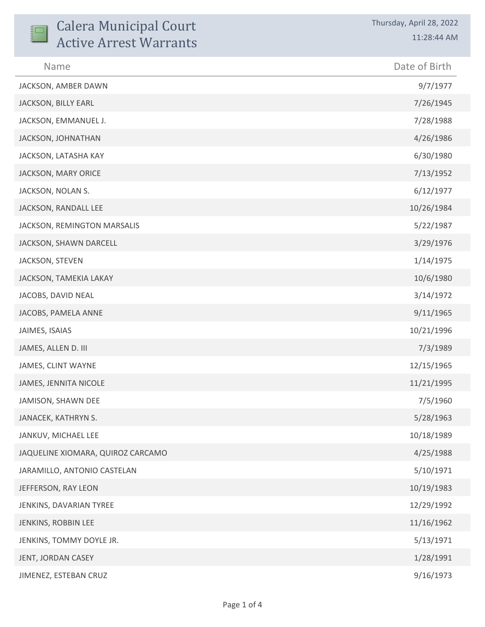| <b>Calera Municipal Court</b><br><b>Active Arrest Warrants</b> | Thursday, April 28, 2022<br>11:28:44 AM |
|----------------------------------------------------------------|-----------------------------------------|
| Name                                                           | Date of Birth                           |
| JACKSON, AMBER DAWN                                            | 9/7/1977                                |
| JACKSON, BILLY EARL                                            | 7/26/1945                               |
| JACKSON, EMMANUEL J.                                           | 7/28/1988                               |
| JACKSON, JOHNATHAN                                             | 4/26/1986                               |
| JACKSON, LATASHA KAY                                           | 6/30/1980                               |
| JACKSON, MARY ORICE                                            | 7/13/1952                               |
| JACKSON, NOLAN S.                                              | 6/12/1977                               |
| JACKSON, RANDALL LEE                                           | 10/26/1984                              |
| JACKSON, REMINGTON MARSALIS                                    | 5/22/1987                               |
| JACKSON, SHAWN DARCELL                                         | 3/29/1976                               |
| JACKSON, STEVEN                                                | 1/14/1975                               |
| JACKSON, TAMEKIA LAKAY                                         | 10/6/1980                               |
| JACOBS, DAVID NEAL                                             | 3/14/1972                               |
| JACOBS, PAMELA ANNE                                            | 9/11/1965                               |
| JAIMES, ISAIAS                                                 | 10/21/1996                              |
| JAMES, ALLEN D. III                                            | 7/3/1989                                |
| JAMES, CLINT WAYNE                                             | 12/15/1965                              |
| JAMES, JENNITA NICOLE                                          | 11/21/1995                              |
| JAMISON, SHAWN DEE                                             | 7/5/1960                                |
| JANACEK, KATHRYN S.                                            | 5/28/1963                               |
| JANKUV, MICHAEL LEE                                            | 10/18/1989                              |
| JAQUELINE XIOMARA, QUIROZ CARCAMO                              | 4/25/1988                               |
| JARAMILLO, ANTONIO CASTELAN                                    | 5/10/1971                               |
| JEFFERSON, RAY LEON                                            | 10/19/1983                              |
| JENKINS, DAVARIAN TYREE                                        | 12/29/1992                              |
| JENKINS, ROBBIN LEE                                            | 11/16/1962                              |
| JENKINS, TOMMY DOYLE JR.                                       | 5/13/1971                               |
| JENT, JORDAN CASEY                                             | 1/28/1991                               |
| JIMENEZ, ESTEBAN CRUZ                                          | 9/16/1973                               |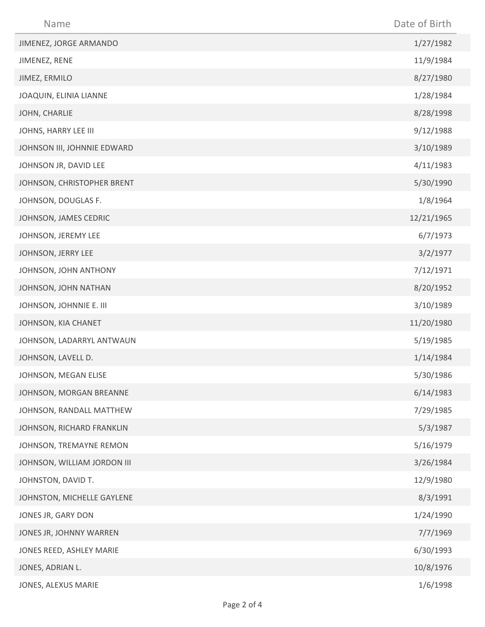| Name                        | Date of Birth |
|-----------------------------|---------------|
| JIMENEZ, JORGE ARMANDO      | 1/27/1982     |
| JIMENEZ, RENE               | 11/9/1984     |
| JIMEZ, ERMILO               | 8/27/1980     |
| JOAQUIN, ELINIA LIANNE      | 1/28/1984     |
| JOHN, CHARLIE               | 8/28/1998     |
| JOHNS, HARRY LEE III        | 9/12/1988     |
| JOHNSON III, JOHNNIE EDWARD | 3/10/1989     |
| JOHNSON JR, DAVID LEE       | 4/11/1983     |
| JOHNSON, CHRISTOPHER BRENT  | 5/30/1990     |
| JOHNSON, DOUGLAS F.         | 1/8/1964      |
| JOHNSON, JAMES CEDRIC       | 12/21/1965    |
| JOHNSON, JEREMY LEE         | 6/7/1973      |
| JOHNSON, JERRY LEE          | 3/2/1977      |
| JOHNSON, JOHN ANTHONY       | 7/12/1971     |
| JOHNSON, JOHN NATHAN        | 8/20/1952     |
| JOHNSON, JOHNNIE E. III     | 3/10/1989     |
| JOHNSON, KIA CHANET         | 11/20/1980    |
| JOHNSON, LADARRYL ANTWAUN   | 5/19/1985     |
| JOHNSON, LAVELL D.          | 1/14/1984     |
| JOHNSON, MEGAN ELISE        | 5/30/1986     |
| JOHNSON, MORGAN BREANNE     | 6/14/1983     |
| JOHNSON, RANDALL MATTHEW    | 7/29/1985     |
| JOHNSON, RICHARD FRANKLIN   | 5/3/1987      |
| JOHNSON, TREMAYNE REMON     | 5/16/1979     |
| JOHNSON, WILLIAM JORDON III | 3/26/1984     |
| JOHNSTON, DAVID T.          | 12/9/1980     |
| JOHNSTON, MICHELLE GAYLENE  | 8/3/1991      |
| JONES JR, GARY DON          | 1/24/1990     |
| JONES JR, JOHNNY WARREN     | 7/7/1969      |
| JONES REED, ASHLEY MARIE    | 6/30/1993     |
| JONES, ADRIAN L.            | 10/8/1976     |
| JONES, ALEXUS MARIE         | 1/6/1998      |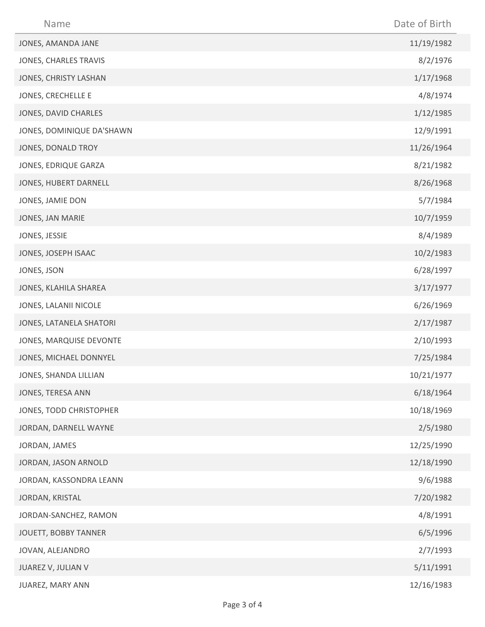| Name                      | Date of Birth |
|---------------------------|---------------|
| JONES, AMANDA JANE        | 11/19/1982    |
| JONES, CHARLES TRAVIS     | 8/2/1976      |
| JONES, CHRISTY LASHAN     | 1/17/1968     |
| JONES, CRECHELLE E        | 4/8/1974      |
| JONES, DAVID CHARLES      | 1/12/1985     |
| JONES, DOMINIQUE DA'SHAWN | 12/9/1991     |
| JONES, DONALD TROY        | 11/26/1964    |
| JONES, EDRIQUE GARZA      | 8/21/1982     |
| JONES, HUBERT DARNELL     | 8/26/1968     |
| JONES, JAMIE DON          | 5/7/1984      |
| JONES, JAN MARIE          | 10/7/1959     |
| JONES, JESSIE             | 8/4/1989      |
| JONES, JOSEPH ISAAC       | 10/2/1983     |
| JONES, JSON               | 6/28/1997     |
| JONES, KLAHILA SHAREA     | 3/17/1977     |
| JONES, LALANII NICOLE     | 6/26/1969     |
| JONES, LATANELA SHATORI   | 2/17/1987     |
| JONES, MARQUISE DEVONTE   | 2/10/1993     |
| JONES, MICHAEL DONNYEL    | 7/25/1984     |
| JONES, SHANDA LILLIAN     | 10/21/1977    |
| JONES, TERESA ANN         | 6/18/1964     |
| JONES, TODD CHRISTOPHER   | 10/18/1969    |
| JORDAN, DARNELL WAYNE     | 2/5/1980      |
| JORDAN, JAMES             | 12/25/1990    |
| JORDAN, JASON ARNOLD      | 12/18/1990    |
| JORDAN, KASSONDRA LEANN   | 9/6/1988      |
| JORDAN, KRISTAL           | 7/20/1982     |
| JORDAN-SANCHEZ, RAMON     | 4/8/1991      |
| JOUETT, BOBBY TANNER      | 6/5/1996      |
| JOVAN, ALEJANDRO          | 2/7/1993      |
| JUAREZ V, JULIAN V        | 5/11/1991     |
| JUAREZ, MARY ANN          | 12/16/1983    |